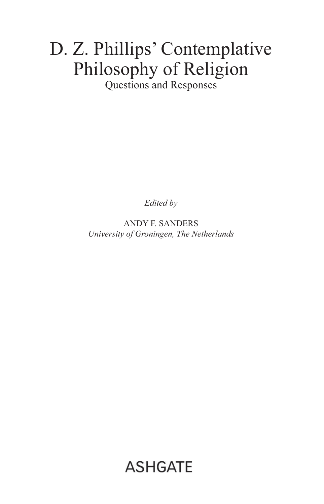# <span id="page-0-0"></span>D. Z. Phillips' Contemplative Philosophy of Religion Questions and Responses

*Edited by*

ANDY F. SANDERS *University of Groningen, The Netherlands*

**ASHGATE**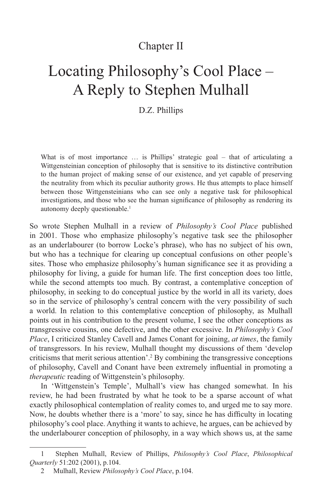# Chapter II

# [Locating Philosophy's Cool Place –](#page-0-0) A Reply to Stephen Mulhall

## D.Z. Phillips

What is of most importance ... is Phillips' strategic goal – that of articulating a Wittgensteinian conception of philosophy that is sensitive to its distinctive contribution to the human project of making sense of our existence, and yet capable of preserving the neutrality from which its peculiar authority grows. He thus attempts to place himself between those Wittgensteinians who can see only a negative task for philosophical investigations, and those who see the human significance of philosophy as rendering its autonomy deeply questionable.<sup>1</sup>

So wrote Stephen Mulhall in a review of *Philosophy's Cool Place* published in 2001. Those who emphasize philosophy's negative task see the philosopher as an underlabourer (to borrow Locke's phrase), who has no subject of his own, but who has a technique for clearing up conceptual confusions on other people's sites. Those who emphasize philosophy's human significance see it as providing a philosophy for living, a guide for human life. The first conception does too little, while the second attempts too much. By contrast, a contemplative conception of philosophy, in seeking to do conceptual justice by the world in all its variety, does so in the service of philosophy's central concern with the very possibility of such a world. In relation to this contemplative conception of philosophy, as Mulhall points out in his contribution to the present volume, I see the other conceptions as transgressive cousins, one defective, and the other excessive. In *Philosophy's Cool Place*, I criticized Stanley Cavell and James Conant for joining, *at times*, the family of transgressors. In his review, Mulhall thought my discussions of them 'develop criticisms that merit serious attention'.2 By combining the transgressive conceptions of philosophy, Cavell and Conant have been extremely influential in promoting a *therapeutic* reading of Wittgenstein's philosophy.

In 'Wittgenstein's Temple', Mulhall's view has changed somewhat. In his review, he had been frustrated by what he took to be a sparse account of what exactly philosophical contemplation of reality comes to, and urged me to say more. Now, he doubts whether there is a 'more' to say, since he has difficulty in locating philosophy's cool place. Anything it wants to achieve, he argues, can be achieved by the underlabourer conception of philosophy, in a way which shows us, at the same

<sup>1</sup> Stephen Mulhall, Review of Phillips, *Philosophy's Cool Place*, *Philosophical Quarterly* 51:202 (2001), p.104.

<sup>2</sup> Mulhall, Review *Philosophy's Cool Place*, p.104.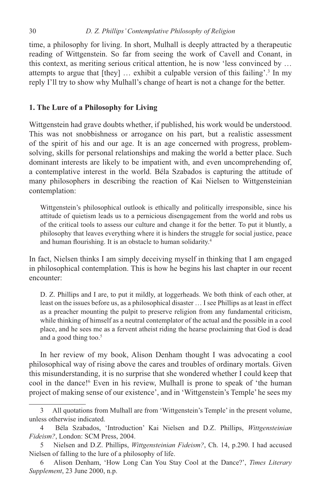time, a philosophy for living. In short, Mulhall is deeply attracted by a therapeutic reading of Wittgenstein. So far from seeing the work of Cavell and Conant, in this context, as meriting serious critical attention, he is now 'less convinced by … attempts to argue that [they] ... exhibit a culpable version of this failing'.<sup>3</sup> In my reply I'll try to show why Mulhall's change of heart is not a change for the better.

### **1. The Lure of a Philosophy for Living**

Wittgenstein had grave doubts whether, if published, his work would be understood. This was not snobbishness or arrogance on his part, but a realistic assessment of the spirit of his and our age. It is an age concerned with progress, problemsolving, skills for personal relationships and making the world a better place. Such dominant interests are likely to be impatient with, and even uncomprehending of, a contemplative interest in the world. Béla Szabados is capturing the attitude of many philosophers in describing the reaction of Kai Nielsen to Wittgensteinian contemplation:

Wittgenstein's philosophical outlook is ethically and politically irresponsible, since his attitude of quietism leads us to a pernicious disengagement from the world and robs us of the critical tools to assess our culture and change it for the better. To put it bluntly, a philosophy that leaves everything where it is hinders the struggle for social justice, peace and human flourishing. It is an obstacle to human solidarity.4

In fact, Nielsen thinks I am simply deceiving myself in thinking that I am engaged in philosophical contemplation. This is how he begins his last chapter in our recent encounter:

D. Z. Phillips and I are, to put it mildly, at loggerheads. We both think of each other, at least on the issues before us, as a philosophical disaster … I see Phillips as at least in effect as a preacher mounting the pulpit to preserve religion from any fundamental criticism, while thinking of himself as a neutral contemplator of the actual and the possible in a cool place, and he sees me as a fervent atheist riding the hearse proclaiming that God is dead and a good thing too.<sup>5</sup>

In her review of my book, Alison Denham thought I was advocating a cool philosophical way of rising above the cares and troubles of ordinary mortals. Given this misunderstanding, it is no surprise that she wondered whether I could keep that cool in the dance!6 Even in his review, Mulhall is prone to speak of 'the human project of making sense of our existence', and in 'Wittgenstein's Temple' he sees my

<sup>3</sup> All quotations from Mulhall are from 'Wittgenstein's Temple' in the present volume, unless otherwise indicated.

<sup>4</sup> Béla Szabados, 'Introduction' Kai Nielsen and D.Z. Phillips, *Wittgensteinian Fideism?*, London: SCM Press, 2004.

<sup>5</sup> Nielsen and D.Z. Phillips, *Wittgensteinian Fideism?*, Ch. 14, p.290. I had accused Nielsen of falling to the lure of a philosophy of life.

<sup>6</sup> Alison Denham, 'How Long Can You Stay Cool at the Dance?', *Times Literary Supplement*, 23 June 2000, n.p.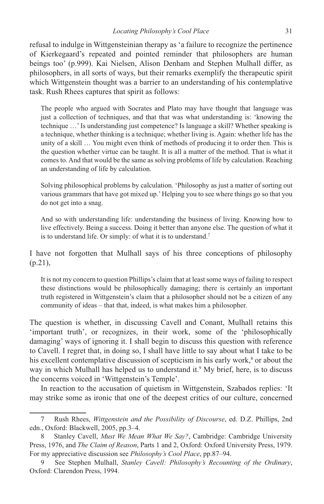refusal to indulge in Wittgensteinian therapy as 'a failure to recognize the pertinence of Kierkegaard's repeated and pointed reminder that philosophers are human beings too' (p.999). Kai Nielsen, Alison Denham and Stephen Mulhall differ, as philosophers, in all sorts of ways, but their remarks exemplify the therapeutic spirit which Wittgenstein thought was a barrier to an understanding of his contemplative task. Rush Rhees captures that spirit as follows:

The people who argued with Socrates and Plato may have thought that language was just a collection of techniques, and that that was what understanding is: 'knowing the technique …' Is understanding just competence? Is language a skill? Whether speaking is a technique, whether thinking is a technique; whether living is. Again: whether life has the unity of a skill … You might even think of methods of producing it to order then. This is the question whether virtue can be taught. It is all a matter of the method. That is what it comes to. And that would be the same as solving problems of life by calculation. Reaching an understanding of life by calculation.

Solving philosophical problems by calculation. 'Philosophy as just a matter of sorting out various grammars that have got mixed up.' Helping you to see where things go so that you do not get into a snag.

And so with understanding life: understanding the business of living. Knowing how to live effectively. Being a success. Doing it better than anyone else. The question of what it is to understand life. Or simply: of what it is to understand.7

I have not forgotten that Mulhall says of his three conceptions of philosophy (p.21),

It is not my concern to question Phillips's claim that at least some ways of failing to respect these distinctions would be philosophically damaging; there is certainly an important truth registered in Wittgenstein's claim that a philosopher should not be a citizen of any community of ideas – that that, indeed, is what makes him a philosopher.

The question is whether, in discussing Cavell and Conant, Mulhall retains this 'important truth', or recognizes, in their work, some of the 'philosophically damaging' ways of ignoring it. I shall begin to discuss this question with reference to Cavell. I regret that, in doing so, I shall have little to say about what I take to be his excellent contemplative discussion of scepticism in his early work,<sup>8</sup> or about the way in which Mulhall has helped us to understand it.<sup>9</sup> My brief, here, is to discuss the concerns voiced in 'Wittgenstein's Temple'.

In reaction to the accusation of quietism in Wittgenstein, Szabados replies: 'It may strike some as ironic that one of the deepest critics of our culture, concerned

<sup>7</sup> Rush Rhees, *Wittgenstein and the Possibility of Discourse*, ed. D.Z. Phillips, 2nd edn., Oxford: Blackwell, 2005, pp.3–4.

<sup>8</sup> Stanley Cavell, *Must We Mean What We Say?*, Cambridge: Cambridge University Press, 1976, and *The Claim of Reason*, Parts 1 and 2, Oxford: Oxford University Press, 1979. For my appreciative discussion see *Philosophy's Cool Place*, pp.87–94.

<sup>9</sup> See Stephen Mulhall, *Stanley Cavell: Philosophy's Recounting of the Ordinary*, Oxford: Clarendon Press, 1994.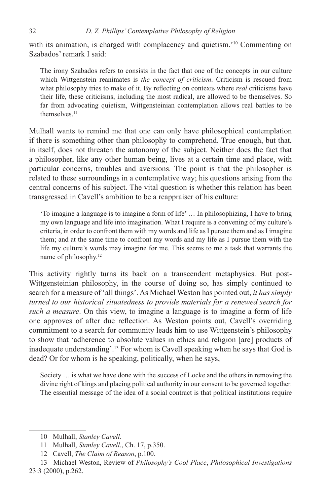with its animation, is charged with complacency and quietism.'<sup>10</sup> Commenting on Szabados' remark I said:

The irony Szabados refers to consists in the fact that one of the concepts in our culture which Wittgenstein reanimates is *the concept of criticism*. Criticism is rescued from what philosophy tries to make of it. By reflecting on contexts where *real* criticisms have their life, these criticisms, including the most radical, are allowed to be themselves. So far from advocating quietism, Wittgensteinian contemplation allows real battles to be themselves.<sup>11</sup>

Mulhall wants to remind me that one can only have philosophical contemplation if there is something other than philosophy to comprehend. True enough, but that, in itself, does not threaten the autonomy of the subject. Neither does the fact that a philosopher, like any other human being, lives at a certain time and place, with particular concerns, troubles and aversions. The point is that the philosopher is related to these surroundings in a contemplative way; his questions arising from the central concerns of his subject. The vital question is whether this relation has been transgressed in Cavell's ambition to be a reappraiser of his culture:

'To imagine a language is to imagine a form of life' … In philosophizing, I have to bring my own language and life into imagination. What I require is a convening of my culture's criteria, in order to confront them with my words and life as I pursue them and as I imagine them; and at the same time to confront my words and my life as I pursue them with the life my culture's words may imagine for me. This seems to me a task that warrants the name of philosophy.12

This activity rightly turns its back on a transcendent metaphysics. But post-Wittgensteinian philosophy, in the course of doing so, has simply continued to search for a measure of 'all things'. As Michael Weston has pointed out, *it has simply turned to our historical situatedness to provide materials for a renewed search for such a measure*. On this view, to imagine a language is to imagine a form of life one approves of after due reflection. As Weston points out, Cavell's overriding commitment to a search for community leads him to use Wittgenstein's philosophy to show that 'adherence to absolute values in ethics and religion [are] products of inadequate understanding'.13 For whom is Cavell speaking when he says that God is dead? Or for whom is he speaking, politically, when he says,

Society … is what we have done with the success of Locke and the others in removing the divine right of kings and placing political authority in our consent to be governed together. The essential message of the idea of a social contract is that political institutions require

<sup>10</sup> Mulhall, *Stanley Cavell*.

<sup>11</sup> Mulhall, *Stanley Cavell*., Ch. 17, p.350.

<sup>12</sup> Cavell, *The Claim of Reason*, p.100.

<sup>13</sup> Michael Weston, Review of *Philosophy's Cool Place*, *Philosophical Investigations* 23:3 (2000), p.262.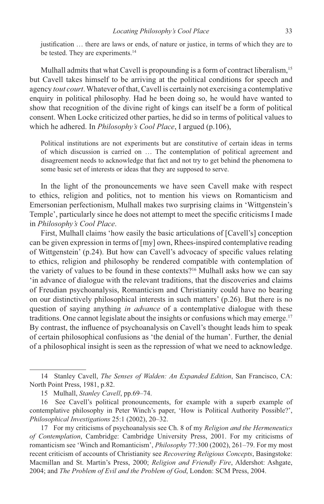justification … there are laws or ends, of nature or justice, in terms of which they are to be tested. They are experiments.<sup>14</sup>

Mulhall admits that what Cavell is propounding is a form of contract liberalism,<sup>15</sup> but Cavell takes himself to be arriving at the political conditions for speech and agency *tout court*. Whatever of that, Cavell is certainly not exercising a contemplative enquiry in political philosophy. Had he been doing so, he would have wanted to show that recognition of the divine right of kings can itself be a form of political consent. When Locke criticized other parties, he did so in terms of political values to which he adhered. In *Philosophy's Cool Place*, I argued (p.106),

Political institutions are not experiments but are constitutive of certain ideas in terms of which discussion is carried on … The contemplation of political agreement and disagreement needs to acknowledge that fact and not try to get behind the phenomena to some basic set of interests or ideas that they are supposed to serve.

In the light of the pronouncements we have seen Cavell make with respect to ethics, religion and politics, not to mention his views on Romanticism and Emersonian perfectionism, Mulhall makes two surprising claims in 'Wittgenstein's Temple', particularly since he does not attempt to meet the specific criticisms I made in *Philosophy's Cool Place*.

First, Mulhall claims 'how easily the basic articulations of [Cavell's] conception can be given expression in terms of [my] own, Rhees-inspired contemplative reading of Wittgenstein' (p.24). But how can Cavell's advocacy of specific values relating to ethics, religion and philosophy be rendered compatible with contemplation of the variety of values to be found in these contexts?<sup>16</sup> Mulhall asks how we can say 'in advance of dialogue with the relevant traditions, that the discoveries and claims of Freudian psychoanalysis, Romanticism and Christianity could have no bearing on our distinctively philosophical interests in such matters' (p.26). But there is no question of saying anything *in advance* of a contemplative dialogue with these traditions. One cannot legislate about the insights or confusions which may emerge.<sup>17</sup> By contrast, the influence of psychoanalysis on Cavell's thought leads him to speak of certain philosophical confusions as 'the denial of the human'. Further, the denial of a philosophical insight is seen as the repression of what we need to acknowledge.

<sup>14</sup> Stanley Cavell, *The Senses of Walden: An Expanded Edition*, San Francisco, CA: North Point Press, 1981, p.82.

<sup>15</sup> Mulhall, *Stanley Cavell*, pp.69–74.

<sup>16</sup> See Cavell's political pronouncements, for example with a superb example of contemplative philosophy in Peter Winch's paper, 'How is Political Authority Possible?', *Philosophical Investigations* 25:1 (2002), 20–32.

<sup>17</sup> For my criticisms of psychoanalysis see Ch. 8 of my *Religion and the Hermeneutics of Contemplation*, Cambridge: Cambridge University Press, 2001. For my criticisms of romanticism see 'Winch and Romanticism', *Philosophy* 77:300 (2002), 261–79. For my most recent criticism of accounts of Christianity see *Recovering Religious Concepts*, Basingstoke: Macmillan and St. Martin's Press, 2000; *Religion and Friendly Fire*, Aldershot: Ashgate, 2004; and *The Problem of Evil and the Problem of God*, London: SCM Press, 2004.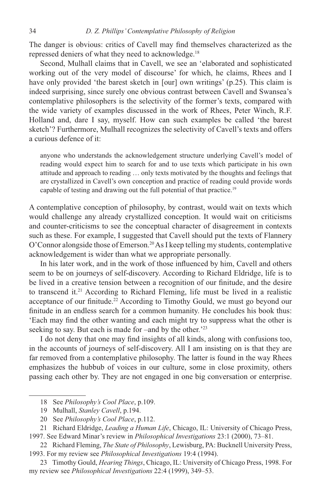The danger is obvious: critics of Cavell may find themselves characterized as the repressed deniers of what they need to acknowledge.<sup>18</sup>

Second, Mulhall claims that in Cavell, we see an 'elaborated and sophisticated working out of the very model of discourse' for which, he claims, Rhees and I have only provided 'the barest sketch in [our] own writings' (p.25). This claim is indeed surprising, since surely one obvious contrast between Cavell and Swansea's contemplative philosophers is the selectivity of the former's texts, compared with the wide variety of examples discussed in the work of Rhees, Peter Winch, R.F. Holland and, dare I say, myself. How can such examples be called 'the barest sketch'? Furthermore, Mulhall recognizes the selectivity of Cavell's texts and offers a curious defence of it:

anyone who understands the acknowledgement structure underlying Cavell's model of reading would expect him to search for and to use texts which participate in his own attitude and approach to reading … only texts motivated by the thoughts and feelings that are crystallized in Cavell's own conception and practice of reading could provide words capable of testing and drawing out the full potential of that practice.19

A contemplative conception of philosophy, by contrast, would wait on texts which would challenge any already crystallized conception. It would wait on criticisms and counter-criticisms to see the conceptual character of disagreement in contexts such as these. For example, I suggested that Cavell should put the texts of Flannery O'Connor alongside those of Emerson.20 As I keep telling my students, contemplative acknowledgement is wider than what we appropriate personally.

In his later work, and in the work of those influenced by him, Cavell and others seem to be on journeys of self-discovery. According to Richard Eldridge, life is to be lived in a creative tension between a recognition of our finitude, and the desire to transcend it.<sup>21</sup> According to Richard Fleming, life must be lived in a realistic acceptance of our finitude.22 According to Timothy Gould, we must go beyond our finitude in an endless search for a common humanity. He concludes his book thus: 'Each may find the other wanting and each might try to suppress what the other is seeking to say. But each is made for –and by the other.'<sup>23</sup>

I do not deny that one may find insights of all kinds, along with confusions too, in the accounts of journeys of self-discovery. All I am insisting on is that they are far removed from a contemplative philosophy. The latter is found in the way Rhees emphasizes the hubbub of voices in our culture, some in close proximity, others passing each other by. They are not engaged in one big conversation or enterprise.

<sup>18</sup> See *Philosophy's Cool Place*, p.109.

<sup>19</sup> Mulhall, *Stanley Cavell*, p.194.

<sup>20</sup> See *Philosophy's Cool Place*, p.112.

<sup>21</sup> Richard Eldridge, *Leading a Human Life*, Chicago, IL: University of Chicago Press, 1997. See Edward Minar's review in *Philosophical Investigations* 23:1 (2000), 73–81.

<sup>22</sup> Richard Fleming, *The State of Philosophy*, Lewisburg, PA: Bucknell University Press, 1993. For my review see *Philosophical Investigations* 19:4 (1994).

<sup>23</sup> Timothy Gould, *Hearing Things*, Chicago, IL: University of Chicago Press, 1998. For my review see *Philosophical Investigations* 22:4 (1999), 349–53.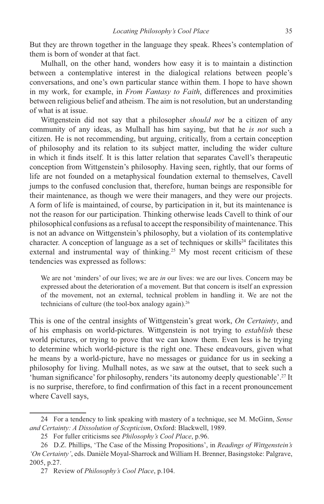But they are thrown together in the language they speak. Rhees's contemplation of them is born of wonder at that fact.

Mulhall, on the other hand, wonders how easy it is to maintain a distinction between a contemplative interest in the dialogical relations between people's conversations, and one's own particular stance within them. I hope to have shown in my work, for example, in *From Fantasy to Faith*, differences and proximities between religious belief and atheism. The aim is not resolution, but an understanding of what is at issue.

Wittgenstein did not say that a philosopher *should not* be a citizen of any community of any ideas, as Mulhall has him saying, but that he *is not* such a citizen. He is not recommending, but arguing, critically, from a certain conception of philosophy and its relation to its subject matter, including the wider culture in which it finds itself. It is this latter relation that separates Cavell's therapeutic conception from Wittgenstein's philosophy. Having seen, rightly, that our forms of life are not founded on a metaphysical foundation external to themselves, Cavell jumps to the confused conclusion that, therefore, human beings are responsible for their maintenance, as though we were their managers, and they were our projects. A form of life is maintained, of course, by participation in it, but its maintenance is not the reason for our participation. Thinking otherwise leads Cavell to think of our philosophical confusions as a refusal to accept the responsibility of maintenance. This is not an advance on Wittgenstein's philosophy, but a violation of its contemplative character. A conception of language as a set of techniques or skills<sup>24</sup> facilitates this external and instrumental way of thinking.<sup>25</sup> My most recent criticism of these tendencies was expressed as follows:

We are not 'minders' of our lives; we are *in* our lives: we are our lives. Concern may be expressed about the deterioration of a movement. But that concern is itself an expression of the movement, not an external, technical problem in handling it. We are not the technicians of culture (the tool-box analogy again).<sup>26</sup>

This is one of the central insights of Wittgenstein's great work, *On Certainty*, and of his emphasis on world-pictures. Wittgenstein is not trying to *establish* these world pictures, or trying to prove that we can know them. Even less is he trying to determine which world-picture is the right one. These endeavours, given what he means by a world-picture, have no messages or guidance for us in seeking a philosophy for living. Mulhall notes, as we saw at the outset, that to seek such a 'human significance' for philosophy, renders 'its autonomy deeply questionable'.27 It is no surprise, therefore, to find confirmation of this fact in a recent pronouncement where Cavell says,

<sup>24</sup> For a tendency to link speaking with mastery of a technique, see M. McGinn, *Sense and Certainty: A Dissolution of Scepticism*, Oxford: Blackwell, 1989.

<sup>25</sup> For fuller criticisms see *Philosophy's Cool Place*, p.96.

<sup>26</sup> D.Z. Phillips, 'The Case of the Missing Propositions', in *Readings of Wittgenstein's 'On Certainty'*, eds. Danièle Moyal-Sharrock and William H. Brenner, Basingstoke: Palgrave, 2005, p.27.

<sup>27</sup> Review of *Philosophy's Cool Place*, p.104.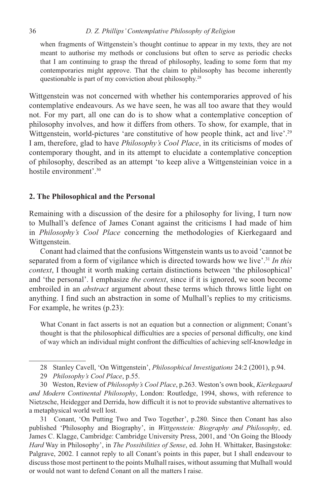when fragments of Wittgenstein's thought continue to appear in my texts, they are not meant to authorise my methods or conclusions but often to serve as periodic checks that I am continuing to grasp the thread of philosophy, leading to some form that my contemporaries might approve. That the claim to philosophy has become inherently questionable is part of my conviction about philosophy.28

Wittgenstein was not concerned with whether his contemporaries approved of his contemplative endeavours. As we have seen, he was all too aware that they would not. For my part, all one can do is to show what a contemplative conception of philosophy involves, and how it differs from others. To show, for example, that in Wittgenstein, world-pictures 'are constitutive of how people think, act and live'.<sup>29</sup> I am, therefore, glad to have *Philosophy's Cool Place*, in its criticisms of modes of contemporary thought, and in its attempt to elucidate a contemplative conception of philosophy, described as an attempt 'to keep alive a Wittgensteinian voice in a hostile environment'.<sup>30</sup>

#### **2. The Philosophical and the Personal**

Remaining with a discussion of the desire for a philosophy for living, I turn now to Mulhall's defence of James Conant against the criticisms I had made of him in *Philosophy's Cool Place* concerning the methodologies of Kierkegaard and Wittgenstein.

Conant had claimed that the confusions Wittgenstein wants us to avoid 'cannot be separated from a form of vigilance which is directed towards how we live'.31 *In this context*, I thought it worth making certain distinctions between 'the philosophical' and 'the personal'. I emphasize *the context*, since if it is ignored, we soon become embroiled in an *abstract* argument about these terms which throws little light on anything. I find such an abstraction in some of Mulhall's replies to my criticisms. For example, he writes (p.23):

What Conant in fact asserts is not an equation but a connection or alignment; Conant's thought is that the philosophical difficulties are a species of personal difficulty, one kind of way which an individual might confront the difficulties of achieving self-knowledge in

31 Conant, 'On Putting Two and Two Together', p.280. Since then Conant has also published 'Philosophy and Biography', in *Wittgenstein: Biography and Philosophy*, ed. James C. Klagge, Cambridge: Cambridge University Press, 2001, and 'On Going the Bloody *Hard* Way in Philosophy', in *The Possibilities of Sense*, ed. John H. Whittaker, Basingstoke: Palgrave, 2002. I cannot reply to all Conant's points in this paper, but I shall endeavour to discuss those most pertinent to the points Mulhall raises, without assuming that Mulhall would or would not want to defend Conant on all the matters I raise.

<sup>28</sup> Stanley Cavell, 'On Wittgenstein', *Philosophical Investigations* 24:2 (2001), p.94.

<sup>29</sup> *Philosophy's Cool Place*, p.55.

<sup>30</sup> Weston, Review of *Philosophy's Cool Place*, p.263. Weston's own book, *Kierkegaard and Modern Continental Philosophy*, London: Routledge, 1994, shows, with reference to Nietzsche, Heidegger and Derrida, how difficult it is not to provide substantive alternatives to a metaphysical world well lost.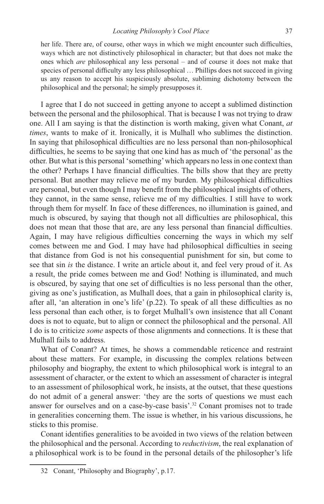her life. There are, of course, other ways in which we might encounter such difficulties, ways which are not distinctively philosophical in character; but that does not make the ones which *are* philosophical any less personal – and of course it does not make that species of personal difficulty any less philosophical … Phillips does not succeed in giving us any reason to accept his suspiciously absolute, subliming dichotomy between the philosophical and the personal; he simply presupposes it.

I agree that I do not succeed in getting anyone to accept a sublimed distinction between the personal and the philosophical. That is because I was not trying to draw one. All I am saying is that the distinction is worth making, given what Conant, *at times*, wants to make of it. Ironically, it is Mulhall who sublimes the distinction. In saying that philosophical difficulties are no less personal than non-philosophical difficulties, he seems to be saying that one kind has as much of 'the personal' as the other. But what is this personal 'something' which appears no less in one context than the other? Perhaps I have financial difficulties. The bills show that they are pretty personal. But another may relieve me of my burden. My philosophical difficulties are personal, but even though I may benefit from the philosophical insights of others, they cannot, in the same sense, relieve me of my difficulties. I still have to work through them for myself. In face of these differences, no illumination is gained, and much is obscured, by saying that though not all difficulties are philosophical, this does not mean that those that are, are any less personal than financial difficulties. Again, I may have religious difficulties concerning the ways in which my self comes between me and God. I may have had philosophical difficulties in seeing that distance from God is not his consequential punishment for sin, but come to see that sin *is* the distance. I write an article about it, and feel very proud of it. As a result, the pride comes between me and God! Nothing is illuminated, and much is obscured, by saying that one set of difficulties is no less personal than the other, giving as one's justification, as Mulhall does, that a gain in philosophical clarity is, after all, 'an alteration in one's life' (p.22). To speak of all these difficulties as no less personal than each other, is to forget Mulhall's own insistence that all Conant does is not to equate, but to align or connect the philosophical and the personal. All I do is to criticize *some* aspects of those alignments and connections. It is these that Mulhall fails to address.

What of Conant? At times, he shows a commendable reticence and restraint about these matters. For example, in discussing the complex relations between philosophy and biography, the extent to which philosophical work is integral to an assessment of character, or the extent to which an assessment of character is integral to an assessment of philosophical work, he insists, at the outset, that these questions do not admit of a general answer: 'they are the sorts of questions we must each answer for ourselves and on a case-by-case basis'.32 Conant promises not to trade in generalities concerning them. The issue is whether, in his various discussions, he sticks to this promise.

Conant identifies generalities to be avoided in two views of the relation between the philosophical and the personal. According to *reductivism*, the real explanation of a philosophical work is to be found in the personal details of the philosopher's life

<sup>32</sup> Conant, 'Philosophy and Biography', p.17.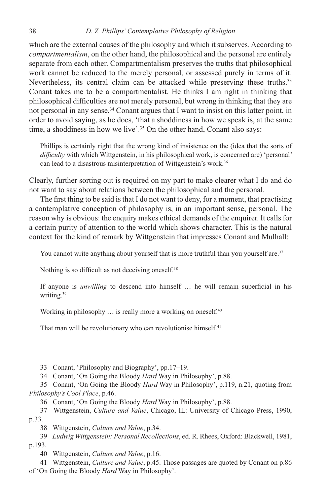which are the external causes of the philosophy and which it subserves. According to *compartmentalism*, on the other hand, the philosophical and the personal are entirely separate from each other. Compartmentalism preserves the truths that philosophical work cannot be reduced to the merely personal, or assessed purely in terms of it. Nevertheless, its central claim can be attacked while preserving these truths.<sup>33</sup> Conant takes me to be a compartmentalist. He thinks I am right in thinking that philosophical difficulties are not merely personal, but wrong in thinking that they are not personal in any sense.<sup>34</sup> Conant argues that I want to insist on this latter point, in order to avoid saying, as he does, 'that a shoddiness in how we speak is, at the same time, a shoddiness in how we live'.<sup>35</sup> On the other hand, Conant also says:

Phillips is certainly right that the wrong kind of insistence on the (idea that the sorts of *difficulty* with which Wittgenstein, in his philosophical work, is concerned are) 'personal' can lead to a disastrous misinterpretation of Wittgenstein's work.36

Clearly, further sorting out is required on my part to make clearer what I do and do not want to say about relations between the philosophical and the personal.

The first thing to be said is that I do not want to deny, for a moment, that practising a contemplative conception of philosophy is, in an important sense, personal. The reason why is obvious: the enquiry makes ethical demands of the enquirer. It calls for a certain purity of attention to the world which shows character. This is the natural context for the kind of remark by Wittgenstein that impresses Conant and Mulhall:

You cannot write anything about yourself that is more truthful than you yourself are.<sup>37</sup>

Nothing is so difficult as not deceiving oneself.<sup>38</sup>

If anyone is *unwilling* to descend into himself … he will remain superficial in his writing.<sup>39</sup>

Working in philosophy  $\dots$  is really more a working on oneself.<sup>40</sup>

That man will be revolutionary who can revolutionise himself.<sup>41</sup>

<sup>33</sup> Conant, 'Philosophy and Biography', pp.17–19.

<sup>34</sup> Conant, 'On Going the Bloody *Hard* Way in Philosophy', p.88.

<sup>35</sup> Conant, 'On Going the Bloody *Hard* Way in Philosophy', p.119, n.21, quoting from *Philosophy's Cool Place*, p.46.

<sup>36</sup> Conant, 'On Going the Bloody *Hard* Way in Philosophy', p.88.

<sup>37</sup> Wittgenstein, *Culture and Value*, Chicago, IL: University of Chicago Press, 1990, p.33.

<sup>38</sup> Wittgenstein, *Culture and Value*, p.34.

<sup>39</sup> *Ludwig Wittgenstein: Personal Recollections*, ed. R. Rhees, Oxford: Blackwell, 1981, p.193.

<sup>40</sup> Wittgenstein, *Culture and Value*, p.16.

<sup>41</sup> Wittgenstein, *Culture and Value*, p.45. Those passages are quoted by Conant on p.86 of 'On Going the Bloody *Hard* Way in Philosophy'.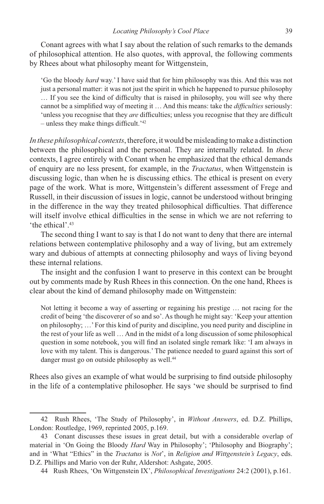Conant agrees with what I say about the relation of such remarks to the demands of philosophical attention. He also quotes, with approval, the following comments by Rhees about what philosophy meant for Wittgenstein,

'Go the bloody *hard* way.' I have said that for him philosophy was this. And this was not just a personal matter: it was not just the spirit in which he happened to pursue philosophy … If you see the kind of difficulty that is raised in philosophy, you will see why there cannot be a simplified way of meeting it … And this means: take the *difficulties* seriously: 'unless you recognise that they *are* difficulties; unless you recognise that they are difficult – unless they make things difficult.'42

*In these philosophical contexts*, therefore, it would be misleading to make a distinction between the philosophical and the personal. They are internally related. In *these* contexts, I agree entirely with Conant when he emphasized that the ethical demands of enquiry are no less present, for example, in the *Tractatus*, when Wittgenstein is discussing logic, than when he is discussing ethics. The ethical is present on every page of the work. What is more, Wittgenstein's different assessment of Frege and Russell, in their discussion of issues in logic, cannot be understood without bringing in the difference in the way they treated philosophical difficulties. That difference will itself involve ethical difficulties in the sense in which we are not referring to 'the ethical'.43

The second thing I want to say is that I do not want to deny that there are internal relations between contemplative philosophy and a way of living, but am extremely wary and dubious of attempts at connecting philosophy and ways of living beyond these internal relations.

The insight and the confusion I want to preserve in this context can be brought out by comments made by Rush Rhees in this connection. On the one hand, Rhees is clear about the kind of demand philosophy made on Wittgenstein:

Not letting it become a way of asserting or regaining his prestige … not racing for the credit of being 'the discoverer of so and so'. As though he might say: 'Keep your attention on philosophy; …' For this kind of purity and discipline, you need purity and discipline in the rest of your life as well … And in the midst of a long discussion of some philosophical question in some notebook, you will find an isolated single remark like: 'I am always in love with my talent. This is dangerous.' The patience needed to guard against this sort of danger must go on outside philosophy as well.<sup>44</sup>

Rhees also gives an example of what would be surprising to find outside philosophy in the life of a contemplative philosopher. He says 'we should be surprised to find

<sup>42</sup> Rush Rhees, 'The Study of Philosophy', in *Without Answers*, ed. D.Z. Phillips, London: Routledge, 1969, reprinted 2005, p.169.

<sup>43</sup> Conant discusses these issues in great detail, but with a considerable overlap of material in 'On Going the Bloody *Hard* Way in Philosophy'; 'Philosophy and Biography'; and in 'What "Ethics" in the *Tractatus* is *Not*', in *Religion and Wittgenstein's Legacy*, eds. D.Z. Phillips and Mario von der Ruhr, Aldershot: Ashgate, 2005.

<sup>44</sup> Rush Rhees, 'On Wittgenstein IX', *Philosophical Investigations* 24:2 (2001), p.161.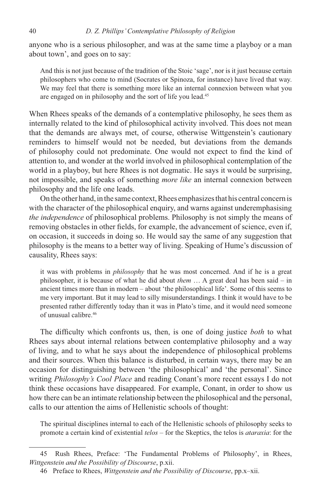anyone who is a serious philosopher, and was at the same time a playboy or a man about town', and goes on to say:

And this is not just because of the tradition of the Stoic 'sage', nor is it just because certain philosophers who come to mind (Socrates or Spinoza, for instance) have lived that way. We may feel that there is something more like an internal connexion between what you are engaged on in philosophy and the sort of life you lead.<sup>45</sup>

When Rhees speaks of the demands of a contemplative philosophy, he sees them as internally related to the kind of philosophical activity involved. This does not mean that the demands are always met, of course, otherwise Wittgenstein's cautionary reminders to himself would not be needed, but deviations from the demands of philosophy could not predominate. One would not expect to find the kind of attention to, and wonder at the world involved in philosophical contemplation of the world in a playboy, but here Rhees is not dogmatic. He says it would be surprising, not impossible, and speaks of something *more like* an internal connexion between philosophy and the life one leads.

On the other hand, in the same context, Rhees emphasizes that his central concern is with the character of the philosophical enquiry, and warns against underemphasising *the independence* of philosophical problems. Philosophy is not simply the means of removing obstacles in other fields, for example, the advancement of science, even if, on occasion, it succeeds in doing so. He would say the same of any suggestion that philosophy is the means to a better way of living. Speaking of Hume's discussion of causality, Rhees says:

it was with problems in *philosophy* that he was most concerned. And if he is a great philosopher, it is because of what he did about *them* … A great deal has been said – in ancient times more than in modern – about 'the philosophical life'. Some of this seems to me very important. But it may lead to silly misunderstandings. I think it would have to be presented rather differently today than it was in Plato's time, and it would need someone of unusual calibre.46

The difficulty which confronts us, then, is one of doing justice *both* to what Rhees says about internal relations between contemplative philosophy and a way of living, and to what he says about the independence of philosophical problems and their sources. When this balance is disturbed, in certain ways, there may be an occasion for distinguishing between 'the philosophical' and 'the personal'. Since writing *Philosophy's Cool Place* and reading Conant's more recent essays I do not think these occasions have disappeared. For example, Conant, in order to show us how there can be an intimate relationship between the philosophical and the personal, calls to our attention the aims of Hellenistic schools of thought:

The spiritual disciplines internal to each of the Hellenistic schools of philosophy seeks to promote a certain kind of existential *telos* – for the Skeptics, the telos is *ataraxia*: for the

<sup>45</sup> Rush Rhees, Preface: 'The Fundamental Problems of Philosophy', in Rhees, *Wittgenstein and the Possibility of Discourse*, p.xii.

<sup>46</sup> Preface to Rhees, *Wittgenstein and the Possibility of Discourse*, pp.x–xii.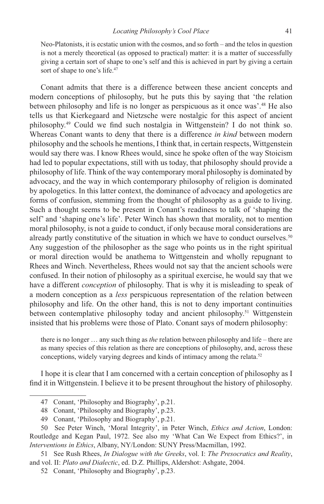Neo-Platonists, it is ecstatic union with the cosmos, and so forth – and the telos in question is not a merely theoretical (as opposed to practical) matter: it is a matter of successfully giving a certain sort of shape to one's self and this is achieved in part by giving a certain sort of shape to one's life.<sup>47</sup>

Conant admits that there is a difference between these ancient concepts and modern conceptions of philosophy, but he puts this by saying that 'the relation between philosophy and life is no longer as perspicuous as it once was'.48 He also tells us that Kierkegaard and Nietzsche were nostalgic for this aspect of ancient philosophy.49 Could we find such nostalgia in Wittgenstein? I do not think so. Whereas Conant wants to deny that there is a difference *in kind* between modern philosophy and the schools he mentions, I think that, in certain respects, Wittgenstein would say there was. I know Rhees would, since he spoke often of the way Stoicism had led to popular expectations, still with us today, that philosophy should provide a philosophy of life. Think of the way contemporary moral philosophy is dominated by advocacy, and the way in which contemporary philosophy of religion is dominated by apologetics. In this latter context, the dominance of advocacy and apologetics are forms of confusion, stemming from the thought of philosophy as a guide to living. Such a thought seems to be present in Conant's readiness to talk of 'shaping the self' and 'shaping one's life'. Peter Winch has shown that morality, not to mention moral philosophy, is not a guide to conduct, if only because moral considerations are already partly constitutive of the situation in which we have to conduct ourselves.<sup>50</sup> Any suggestion of the philosopher as the sage who points us in the right spiritual or moral direction would be anathema to Wittgenstein and wholly repugnant to Rhees and Winch. Nevertheless, Rhees would not say that the ancient schools were confused. In their notion of philosophy as a spiritual exercise, he would say that we have a different *conception* of philosophy. That is why it is misleading to speak of a modern conception as a *less* perspicuous representation of the relation between philosophy and life. On the other hand, this is not to deny important continuities between contemplative philosophy today and ancient philosophy.51 Wittgenstein insisted that his problems were those of Plato. Conant says of modern philosophy:

there is no longer … any such thing as *the* relation between philosophy and life – there are as many species of this relation as there are conceptions of philosophy, and, across these conceptions, widely varying degrees and kinds of intimacy among the relata.<sup>52</sup>

I hope it is clear that I am concerned with a certain conception of philosophy as I find it in Wittgenstein. I believe it to be present throughout the history of philosophy.

52 Conant, 'Philosophy and Biography', p.23.

<sup>47</sup> Conant, 'Philosophy and Biography', p.21.

<sup>48</sup> Conant, 'Philosophy and Biography', p.23.

<sup>49</sup> Conant, 'Philosophy and Biography', p.21.

<sup>50</sup> See Peter Winch, 'Moral Integrity', in Peter Winch, *Ethics and Action*, London: Routledge and Kegan Paul, 1972. See also my 'What Can We Expect from Ethics?', in *Interventions in Ethics*, Albany, NY/London: SUNY Press/Macmillan, 1992.

<sup>51</sup> See Rush Rhees, *In Dialogue with the Greeks*, vol. I: *The Presocratics and Reality*, and vol. II: *Plato and Dialectic*, ed. D.Z. Phillips, Aldershot: Ashgate, 2004.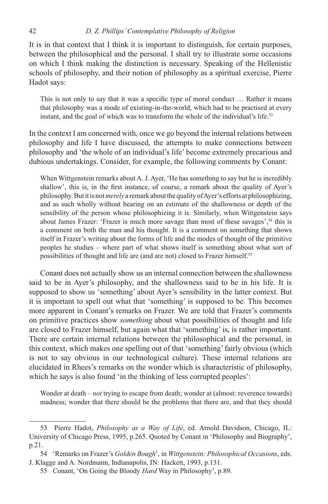#### 42 *D. Z. Phillips' Contemplative Philosophy of Religion*

It is in that context that I think it is important to distinguish, for certain purposes, between the philosophical and the personal. I shall try to illustrate some occasions on which I think making the distinction is necessary. Speaking of the Hellenistic schools of philosophy, and their notion of philosophy as a spiritual exercise, Pierre Hadot says:

This is not only to say that it was a specific type of moral conduct … Rather it means that philosophy was a mode of existing-in-the-world, which had to be practised at every instant, and the goal of which was to transform the whole of the individual's life.<sup>53</sup>

In the context I am concerned with, once we go beyond the internal relations between philosophy and life I have discussed, the attempts to make connections between philosophy and 'the whole of an individual's life' become extremely precarious and dubious undertakings. Consider, for example, the following comments by Conant:

When Wittgenstein remarks about A. J. Ayer, 'He has something to say but he is incredibly shallow', this is, in the first instance, of course, a remark about the quality of Ayer's philosophy. But it is not *merely* a remark about the quality of Ayer's efforts at philosophizing, and as such wholly without bearing on an estimate of the shallowness or depth of the sensibility of the person whose philosophizing it is. Similarly, when Wittgenstein says about James Frazer: 'Frazer is much more savage than most of these savages',<sup>54</sup> this is a comment on both the man and his thought. It is a comment on something that shows itself in Frazer's writing about the forms of life and the modes of thought of the primitive peoples he studies – where part of what shows itself is something about what sort of possibilities of thought and life are (and are not) closed to Frazer himself.<sup>55</sup>

Conant does not actually show us an internal connection between the shallowness said to be in Ayer's philosophy, and the shallowness said to be in his life. It is supposed to show us 'something' about Ayer's sensibility in the latter context. But it is important to spell out what that 'something' is supposed to be. This becomes more apparent in Conant's remarks on Frazer. We are told that Frazer's comments on primitive practices show *something* about what possibilities of thought and life are closed to Frazer himself, but again what that 'something' is, is rather important. There are certain internal relations between the philosophical and the personal, in this context, which makes one spelling out of that 'something' fairly obvious (which is not to say obvious in our technological culture). These internal relations are elucidated in Rhees's remarks on the wonder which is characteristic of philosophy, which he says is also found 'in the thinking of less corrupted peoples':

Wonder at death – *not* trying to escape from death; wonder at (almost: reverence towards) madness; wonder that there should be the problems that there are, and that they should

<sup>53</sup> Pierre Hadot, *Philosophy as a Way of Life*, ed. Arnold Davidson, Chicago, IL: University of Chicago Press, 1995, p.265. Quoted by Conant in 'Philosophy and Biography', p.21.

<sup>54 &#</sup>x27;Remarks on Frazer's *Golden Bough*', in *Wittgenstein: Philosophical Occasions*, eds. J. Klagge and A. Nordmann, Indianapolis, IN: Hackett, 1993, p.131.

<sup>55</sup> Conant, 'On Going the Bloody *Hard* Way in Philosophy', p.89.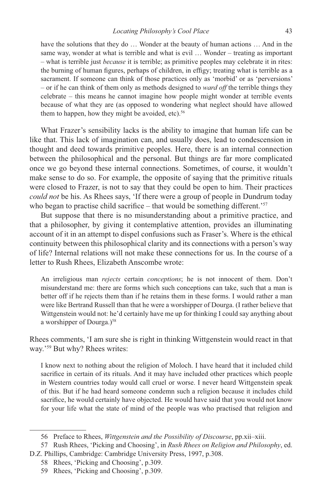have the solutions that they do ... Wonder at the beauty of human actions ... And in the same way, wonder at what is terrible and what is evil … Wonder – treating as important – what is terrible just *because* it is terrible; as primitive peoples may celebrate it in rites: the burning of human figures, perhaps of children, in effigy; treating what is terrible as a sacrament. If someone can think of those practices only as 'morbid' or as 'perversions' – or if he can think of them only as methods designed to *ward off* the terrible things they celebrate – this means he cannot imagine how people might wonder at terrible events because of what they are (as opposed to wondering what neglect should have allowed them to happen, how they might be avoided, etc). $56$ 

What Frazer's sensibility lacks is the ability to imagine that human life can be like that. This lack of imagination can, and usually does, lead to condescension in thought and deed towards primitive peoples. Here, there is an internal connection between the philosophical and the personal. But things are far more complicated once we go beyond these internal connections. Sometimes, of course, it wouldn't make sense to do so. For example, the opposite of saying that the primitive rituals were closed to Frazer, is not to say that they could be open to him. Their practices *could not* be his. As Rhees says, 'If there were a group of people in Dundrum today who began to practise child sacrifice – that would be something different.<sup> $57$ </sup>

But suppose that there is no misunderstanding about a primitive practice, and that a philosopher, by giving it contemplative attention, provides an illuminating account of it in an attempt to dispel confusions such as Fraser's. Where is the ethical continuity between this philosophical clarity and its connections with a person's way of life? Internal relations will not make these connections for us. In the course of a letter to Rush Rhees, Elizabeth Anscombe wrote:

An irreligious man *rejects* certain *conceptions*; he is not innocent of them. Don't misunderstand me: there are forms which such conceptions can take, such that a man is better off if he rejects them than if he retains them in these forms. I would rather a man were like Bertrand Russell than that he were a worshipper of Dourga. (I rather believe that Wittgenstein would not: he'd certainly have me up for thinking I could say anything about a worshipper of Dourga.)<sup>58</sup>

Rhees comments, 'I am sure she is right in thinking Wittgenstein would react in that way.'<sup>59</sup> But why? Rhees writes:

I know next to nothing about the religion of Moloch. I have heard that it included child sacrifice in certain of its rituals. And it may have included other practices which people in Western countries today would call cruel or worse. I never heard Wittgenstein speak of this. But if he had heard someone condemn such a religion because it includes child sacrifice, he would certainly have objected. He would have said that you would not know for your life what the state of mind of the people was who practised that religion and

<sup>56</sup> Preface to Rhees, *Wittgenstein and the Possibility of Discourse*, pp.xii–xiii.

<sup>57</sup> Rush Rhees, 'Picking and Choosing', in *Rush Rhees on Religion and Philosophy*, ed. D.Z. Phillips, Cambridge: Cambridge University Press, 1997, p.308.

<sup>58</sup> Rhees, 'Picking and Choosing', p.309.

<sup>59</sup> Rhees, 'Picking and Choosing', p.309.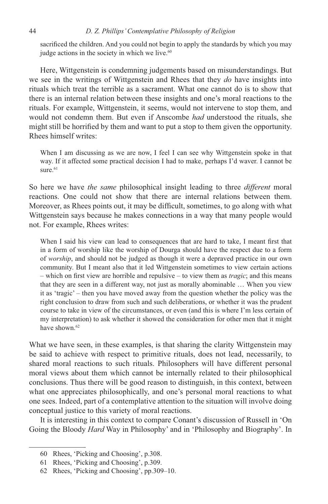#### 44 *D. Z. Phillips' Contemplative Philosophy of Religion*

sacrificed the children. And you could not begin to apply the standards by which you may judge actions in the society in which we live.<sup>60</sup>

Here, Wittgenstein is condemning judgements based on misunderstandings. But we see in the writings of Wittgenstein and Rhees that they *do* have insights into rituals which treat the terrible as a sacrament. What one cannot do is to show that there is an internal relation between these insights and one's moral reactions to the rituals. For example, Wittgenstein, it seems, would not intervene to stop them, and would not condemn them. But even if Anscombe *had* understood the rituals, she might still be horrified by them and want to put a stop to them given the opportunity. Rhees himself writes:

When I am discussing as we are now, I feel I can see why Wittgenstein spoke in that way. If it affected some practical decision I had to make, perhaps I'd waver. I cannot be sure $.61$ 

So here we have *the same* philosophical insight leading to three *different* moral reactions. One could not show that there are internal relations between them. Moreover, as Rhees points out, it may be difficult, sometimes, to go along with what Wittgenstein says because he makes connections in a way that many people would not. For example, Rhees writes:

When I said his view can lead to consequences that are hard to take, I meant first that in a form of worship like the worship of Dourga should have the respect due to a form of *worship*, and should not be judged as though it were a depraved practice in our own community. But I meant also that it led Wittgenstein sometimes to view certain actions – which on first view are horrible and repulsive – to view them as *tragic*; and this means that they are seen in a different way, not just as morally abominable … When you view it as 'tragic' – then you have moved away from the question whether the policy was the right conclusion to draw from such and such deliberations, or whether it was the prudent course to take in view of the circumstances, or even (and this is where I'm less certain of my interpretation) to ask whether it showed the consideration for other men that it might have shown.<sup>62</sup>

What we have seen, in these examples, is that sharing the clarity Wittgenstein may be said to achieve with respect to primitive rituals, does not lead, necessarily, to shared moral reactions to such rituals. Philosophers will have different personal moral views about them which cannot be internally related to their philosophical conclusions. Thus there will be good reason to distinguish, in this context, between what one appreciates philosophically, and one's personal moral reactions to what one sees. Indeed, part of a contemplative attention to the situation will involve doing conceptual justice to this variety of moral reactions.

It is interesting in this context to compare Conant's discussion of Russell in 'On Going the Bloody *Hard* Way in Philosophy' and in 'Philosophy and Biography'. In

<sup>60</sup> Rhees, 'Picking and Choosing', p.308.

<sup>61</sup> Rhees, 'Picking and Choosing', p.309.

<sup>62</sup> Rhees, 'Picking and Choosing', pp.309–10.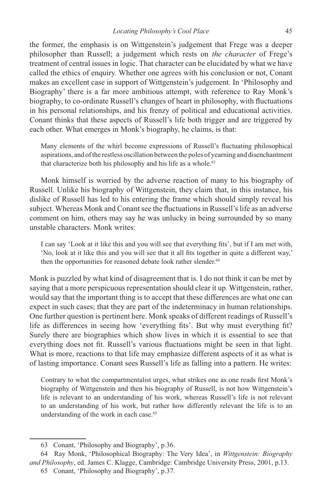the former, the emphasis is on Wittgenstein's judgement that Frege was a deeper philosopher than Russell; a judgement which rests on *the character* of Frege's treatment of central issues in logic. That character can be elucidated by what we have called the ethics of enquiry. Whether one agrees with his conclusion or not, Conant makes an excellent case in support of Wittgenstein's judgement. In 'Philosophy and Biography' there is a far more ambitious attempt, with reference to Ray Monk's biography, to co-ordinate Russell's changes of heart in philosophy, with fluctuations in his personal relationships, and his frenzy of political and educational activities. Conant thinks that these aspects of Russell's life both trigger and are triggered by each other. What emerges in Monk's biography, he claims, is that:

Many elements of the whirl become expressions of Russell's fluctuating philosophical aspirations, and of the restless oscillation between the poles of yearning and disenchantment that characterize both his philosophy and his life as a whole. $63$ 

Monk himself is worried by the adverse reaction of many to his biography of Russell. Unlike his biography of Wittgenstein, they claim that, in this instance, his dislike of Russell has led to his entering the frame which should simply reveal his subject. Whereas Monk and Conant see the fluctuations in Russell's life as an adverse comment on him, others may say he was unlucky in being surrounded by so many unstable characters. Monk writes:

I can say 'Look at it like this and you will see that everything fits', but if I am met with, 'No, look at it like this and you will see that it all fits together in quite a different way,' then the opportunities for reasoned debate look rather slender.<sup>64</sup>

Monk is puzzled by what kind of disagreement that is. I do not think it can be met by saying that a more perspicuous representation should clear it up. Wittgenstein, rather, would say that the important thing is to accept that these differences are what one can expect in such cases; that they are part of the indeterminacy in human relationships. One further question is pertinent here. Monk speaks of different readings of Russell's life as differences in seeing how 'everything fits'. But why must everything fit? Surely there are biographies which show lives in which it is essential to see that everything does not fit. Russell's various fluctuations might be seen in that light. What is more, reactions to that life may emphasize different aspects of it as what is of lasting importance. Conant sees Russell's life as falling into a pattern. He writes:

Contrary to what the compartmentalist urges, what strikes one as one reads first Monk's biography of Wittgenstein and then his biography of Russell, is not how Wittgenstein's life is relevant to an understanding of his work, whereas Russell's life is not relevant to an understanding of his work, but rather how differently relevant the life is to an understanding of the work in each case.<sup>65</sup>

<sup>63</sup> Conant, 'Philosophy and Biography', p.36.

<sup>64</sup> Ray Monk, 'Philosophical Biography: The Very Idea', in *Wittgenstein: Biography and Philosophy*, ed. James C. Klagge, Cambridge: Cambridge University Press, 2001, p.13.

<sup>65</sup> Conant, 'Philosophy and Biography', p.37.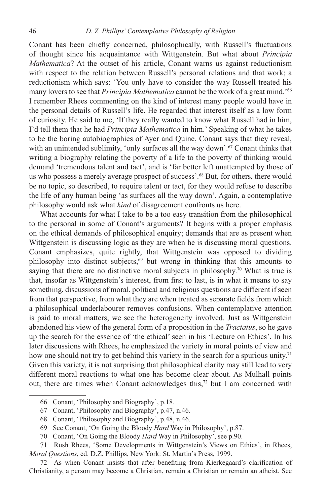Conant has been chiefly concerned, philosophically, with Russell's fluctuations of thought since his acquaintance with Wittgenstein. But what about *Principia Mathematica*? At the outset of his article, Conant warns us against reductionism with respect to the relation between Russell's personal relations and that work; a reductionism which says: 'You only have to consider the way Russell treated his many lovers to see that *Principia Mathematica* cannot be the work of a great mind.'66 I remember Rhees commenting on the kind of interest many people would have in the personal details of Russell's life. He regarded that interest itself as a low form of curiosity. He said to me, 'If they really wanted to know what Russell had in him, I'd tell them that he had *Principia Mathematica* in him.' Speaking of what he takes to be the boring autobiographies of Ayer and Quine, Conant says that they reveal, with an unintended sublimity, 'only surfaces all the way down'.<sup>67</sup> Conant thinks that writing a biography relating the poverty of a life to the poverty of thinking would demand 'tremendous talent and tact', and is 'far better left unattempted by those of us who possess a merely average prospect of success'.<sup>68</sup> But, for others, there would be no topic, so described, to require talent or tact, for they would refuse to describe the life of any human being 'as surfaces all the way down'. Again, a contemplative philosophy would ask what *kind* of disagreement confronts us here.

What accounts for what I take to be a too easy transition from the philosophical to the personal in some of Conant's arguments? It begins with a proper emphasis on the ethical demands of philosophical enquiry; demands that are as present when Wittgenstein is discussing logic as they are when he is discussing moral questions. Conant emphasizes, quite rightly, that Wittgenstein was opposed to dividing philosophy into distinct subjects,69 but wrong in thinking that this amounts to saying that there are no distinctive moral subjects in philosophy.<sup>70</sup> What is true is that, insofar as Wittgenstein's interest, from first to last, is in what it means to say something, discussions of moral, political and religious questions are different if seen from that perspective, from what they are when treated as separate fields from which a philosophical underlabourer removes confusions. When contemplative attention is paid to moral matters, we see the heterogeneity involved. Just as Wittgenstein abandoned his view of the general form of a proposition in the *Tractatus*, so he gave up the search for the essence of 'the ethical' seen in his 'Lecture on Ethics'. In his later discussions with Rhees, he emphasized the variety in moral points of view and how one should not try to get behind this variety in the search for a spurious unity.<sup>71</sup> Given this variety, it is not surprising that philosophical clarity may still lead to very different moral reactions to what one has become clear about. As Mulhall points out, there are times when Conant acknowledges this,<sup>72</sup> but I am concerned with

72 As when Conant insists that after benefiting from Kierkegaard's clarification of Christianity, a person may become a Christian, remain a Christian or remain an atheist. See

<sup>66</sup> Conant, 'Philosophy and Biography', p.18.

<sup>67</sup> Conant, 'Philosophy and Biography', p.47, n.46.

<sup>68</sup> Conant, 'Philosophy and Biography', p.48, n.46.

<sup>69</sup> See Conant, 'On Going the Bloody *Hard* Way in Philosophy', p.87.

<sup>70</sup> Conant, 'On Going the Bloody *Hard* Way in Philosophy', see p.90.

<sup>71</sup> Rush Rhees, 'Some Developments in Wittgenstein's Views on Ethics', in Rhees, *Moral Questions*, ed. D.Z. Phillips, New York: St. Martin's Press, 1999.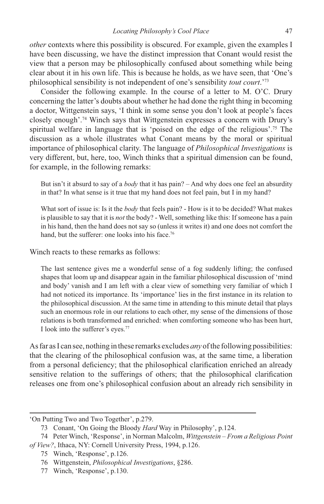*other* contexts where this possibility is obscured. For example, given the examples I have been discussing, we have the distinct impression that Conant would resist the view that a person may be philosophically confused about something while being clear about it in his own life. This is because he holds, as we have seen, that 'One's philosophical sensibility is not independent of one's sensibility *tout court*.'73

Consider the following example. In the course of a letter to M. O'C. Drury concerning the latter's doubts about whether he had done the right thing in becoming a doctor, Wittgenstein says, 'I think in some sense you don't look at people's faces closely enough'.74 Winch says that Wittgenstein expresses a concern with Drury's spiritual welfare in language that is 'poised on the edge of the religious'.75 The discussion as a whole illustrates what Conant means by the moral or spiritual importance of philosophical clarity. The language of *Philosophical Investigations* is very different, but, here, too, Winch thinks that a spiritual dimension can be found, for example, in the following remarks:

But isn't it absurd to say of a *body* that it has pain? – And why does one feel an absurdity in that? In what sense is it true that my hand does not feel pain, but I in my hand?

What sort of issue is: Is it the *body* that feels pain? - How is it to be decided? What makes is plausible to say that it is *not* the body? - Well, something like this: If someone has a pain in his hand, then the hand does not say so (unless it writes it) and one does not comfort the hand, but the sufferer: one looks into his face.<sup>76</sup>

Winch reacts to these remarks as follows:

The last sentence gives me a wonderful sense of a fog suddenly lifting; the confused shapes that loom up and disappear again in the familiar philosophical discussion of 'mind and body' vanish and I am left with a clear view of something very familiar of which I had not noticed its importance. Its 'importance' lies in the first instance in its relation to the philosophical discussion. At the same time in attending to this minute detail that plays such an enormous role in our relations to each other, my sense of the dimensions of those relations is both transformed and enriched: when comforting someone who has been hurt, I look into the sufferer's eyes.77

As far as I can see, nothing in these remarks excludes *any* of the following possibilities: that the clearing of the philosophical confusion was, at the same time, a liberation from a personal deficiency; that the philosophical clarification enriched an already sensitive relation to the sufferings of others; that the philosophical clarification releases one from one's philosophical confusion about an already rich sensibility in

<sup>&#</sup>x27;On Putting Two and Two Together', p.279.

<sup>73</sup> Conant, 'On Going the Bloody *Hard* Way in Philosophy', p.124.

<sup>74</sup> Peter Winch, 'Response', in Norman Malcolm, *Wittgenstein – From a Religious Point of View?*, Ithaca, NY: Cornell University Press, 1994, p.126.

<sup>75</sup> Winch, 'Response', p.126.

<sup>76</sup> Wittgenstein, *Philosophical Investigations*, §286.

<sup>77</sup> Winch, 'Response', p.130.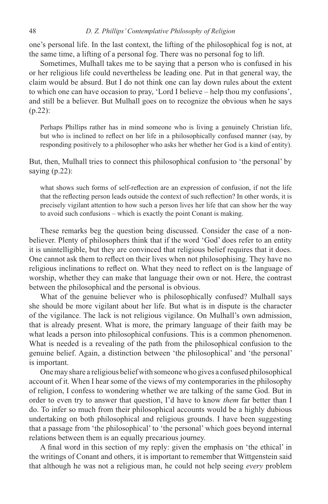one's personal life. In the last context, the lifting of the philosophical fog is not, at the same time, a lifting of a personal fog. There was no personal fog to lift.

Sometimes, Mulhall takes me to be saying that a person who is confused in his or her religious life could nevertheless be leading one. Put in that general way, the claim would be absurd. But I do not think one can lay down rules about the extent to which one can have occasion to pray, 'Lord I believe – help thou my confusions', and still be a believer. But Mulhall goes on to recognize the obvious when he says (p.22):

Perhaps Phillips rather has in mind someone who is living a genuinely Christian life, but who is inclined to reflect on her life in a philosophically confused manner (say, by responding positively to a philosopher who asks her whether her God is a kind of entity).

But, then, Mulhall tries to connect this philosophical confusion to 'the personal' by saying (p.22):

what shows such forms of self-reflection are an expression of confusion, if not the life that the reflecting person leads outside the context of such reflection? In other words, it is precisely vigilant attention to how such a person lives her life that can show her the way to avoid such confusions – which is exactly the point Conant is making.

These remarks beg the question being discussed. Consider the case of a nonbeliever. Plenty of philosophers think that if the word 'God' does refer to an entity it is unintelligible, but they are convinced that religious belief requires that it does. One cannot ask them to reflect on their lives when not philosophising. They have no religious inclinations to reflect on. What they need to reflect on is the language of worship, whether they can make that language their own or not. Here, the contrast between the philosophical and the personal is obvious.

What of the genuine believer who is philosophically confused? Mulhall says she should be more vigilant about her life. But what is in dispute is the character of the vigilance. The lack is not religious vigilance. On Mulhall's own admission, that is already present. What is more, the primary language of their faith may be what leads a person into philosophical confusions. This is a common phenomenon. What is needed is a revealing of the path from the philosophical confusion to the genuine belief. Again, a distinction between 'the philosophical' and 'the personal' is important.

One may share a religious belief with someone who gives a confused philosophical account of it. When I hear some of the views of my contemporaries in the philosophy of religion, I confess to wondering whether we are talking of the same God. But in order to even try to answer that question, I'd have to know *them* far better than I do. To infer so much from their philosophical accounts would be a highly dubious undertaking on both philosophical and religious grounds. I have been suggesting that a passage from 'the philosophical' to 'the personal' which goes beyond internal relations between them is an equally precarious journey.

A final word in this section of my reply: given the emphasis on 'the ethical' in the writings of Conant and others, it is important to remember that Wittgenstein said that although he was not a religious man, he could not help seeing *every* problem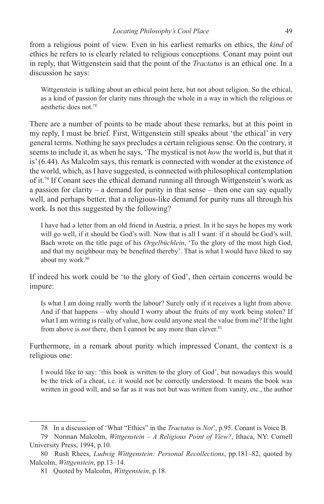from a religious point of view. Even in his earliest remarks on ethics, the *kind* of ethics he refers to is clearly related to religious conceptions. Conant may point out in reply, that Wittgenstein said that the point of the *Tractatus* is an ethical one. In a discussion he says:

Wittgenstein is talking about an ethical point here, but not about religion. So the ethical, as a kind of passion for clarity runs through the whole in a way in which the religious or aesthetic does not<sup>78</sup>

There are a number of points to be made about these remarks, but at this point in my reply, I must be brief. First, Wittgenstein still speaks about 'the ethical' in very general terms. Nothing he says precludes a certain religious sense. On the contrary, it seems to include it, as when he says, 'The mystical is not *how* the world is, but that it is' (6.44). As Malcolm says, this remark is connected with wonder at the existence of the world, which, as I have suggested, is connected with philosophical contemplation of it.79 If Conant sees the ethical demand running all through Wittgenstein's work as a passion for clarity – a demand for purity in that sense – then one can say equally well, and perhaps better, that a religious-like demand for purity runs all through his work. Is not this suggested by the following?

I have had a letter from an old friend in Austria, a priest. In it he says he hopes my work will go well, if it should be God's will. Now that is all I want: if it should be God's will. Bach wrote on the title page of his *Orgelbüchlein*, 'To the glory of the most high God, and that my neighbour may be benefited thereby'. That is what I would have liked to say about my work.<sup>80</sup>

If indeed his work could be 'to the glory of God', then certain concerns would be impure:

Is what I am doing really worth the labour? Surely only if it receives a light from above. And if that happens – why should I worry about the fruits of my work being stolen? If what I am writing is really of value, how could anyone steal the value from me? If the light from above is *not* there, then I cannot be any more than clever.<sup>81</sup>

Furthermore, in a remark about purity which impressed Conant, the context is a religious one:

I would like to say: 'this book is written to the glory of God', but nowadays this would be the trick of a cheat, i.e. it would not be correctly understood. It means the book was written in good will, and so far as it was not but was written from vanity, etc., the author

<sup>78</sup> In a discussion of 'What "Ethics" in the *Tractatus* is *Not*', p.95. Conant is Voice B.

<sup>79</sup> Norman Malcolm, *Wittgenstein – A Religious Point of View?*, Ithaca, NY: Cornell University Press, 1994, p.10.

<sup>80</sup> Rush Rhees, *Ludwig Wittgenstein: Personal Recollections*, pp.181–82, quoted by Malcolm, *Wittgenstein*, pp.13–14.

<sup>81</sup> Quoted by Malcolm, *Wittgenstein*, p.18.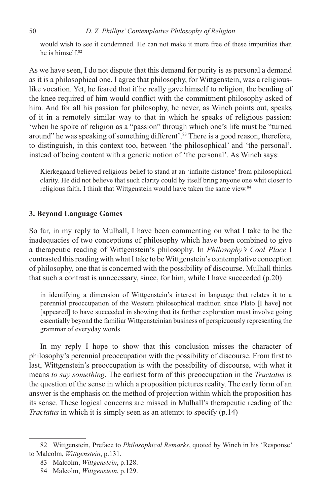would wish to see it condemned. He can not make it more free of these impurities than he is himself.<sup>82</sup>

As we have seen, I do not dispute that this demand for purity is as personal a demand as it is a philosophical one. I agree that philosophy, for Wittgenstein, was a religiouslike vocation. Yet, he feared that if he really gave himself to religion, the bending of the knee required of him would conflict with the commitment philosophy asked of him. And for all his passion for philosophy, he never, as Winch points out, speaks of it in a remotely similar way to that in which he speaks of religious passion: 'when he spoke of religion as a "passion" through which one's life must be "turned around" he was speaking of something different'.<sup>83</sup> There is a good reason, therefore, to distinguish, in this context too, between 'the philosophical' and 'the personal', instead of being content with a generic notion of 'the personal'. As Winch says:

Kierkegaard believed religious belief to stand at an 'infinite distance' from philosophical clarity. He did not believe that such clarity could by itself bring anyone one whit closer to religious faith. I think that Wittgenstein would have taken the same view.<sup>84</sup>

## **3. Beyond Language Games**

So far, in my reply to Mulhall, I have been commenting on what I take to be the inadequacies of two conceptions of philosophy which have been combined to give a therapeutic reading of Wittgenstein's philosophy. In *Philosophy's Cool Place* I contrasted this reading with what I take to be Wittgenstein's contemplative conception of philosophy, one that is concerned with the possibility of discourse. Mulhall thinks that such a contrast is unnecessary, since, for him, while I have succeeded (p.20)

in identifying a dimension of Wittgenstein's interest in language that relates it to a perennial preoccupation of the Western philosophical tradition since Plato [I have] not [appeared] to have succeeded in showing that its further exploration must involve going essentially beyond the familiar Wittgensteinian business of perspicuously representing the grammar of everyday words.

In my reply I hope to show that this conclusion misses the character of philosophy's perennial preoccupation with the possibility of discourse. From first to last, Wittgenstein's preoccupation is with the possibility of discourse, with what it means *to say something*. The earliest form of this preoccupation in the *Tractatus* is the question of the sense in which a proposition pictures reality. The early form of an answer is the emphasis on the method of projection within which the proposition has its sense. These logical concerns are missed in Mulhall's therapeutic reading of the *Tractatus* in which it is simply seen as an attempt to specify (p.14)

<sup>82</sup> Wittgenstein, Preface to *Philosophical Remarks*, quoted by Winch in his 'Response' to Malcolm, *Wittgenstein*, p.131.

<sup>83</sup> Malcolm, *Wittgenstein*, p.128.

<sup>84</sup> Malcolm, *Wittgenstein*, p.129.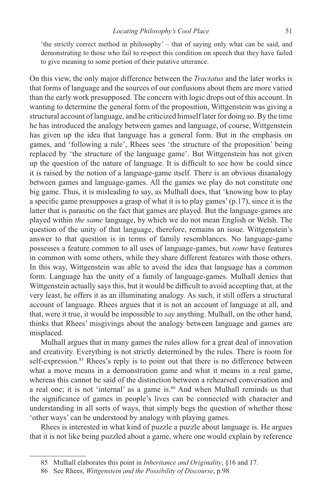'the strictly correct method in philosophy' – that of saying only what can be said, and demonstrating to those who fail to respect this condition on speech that they have failed to give meaning to some portion of their putative utterance.

On this view, the only major difference between the *Tractatus* and the later works is that forms of language and the sources of our confusions about them are more varied than the early work presupposed. The concern with logic drops out of this account. In wanting to determine the general form of the proposition, Wittgenstein was giving a structural account of language, and he criticized himself later for doing so. By the time he has introduced the analogy between games and language, of course, Wittgenstein has given up the idea that language has a general form. But in the emphasis on games, and 'following a rule', Rhees sees 'the structure of the proposition' being replaced by 'the structure of the language game'. But Wittgenstein has not given up the question of the nature of language. It is difficult to see how he could since it is raised by the notion of a language-game itself. There is an obvious disanalogy between games and language-games. All the games we play do not constitute one big game. Thus, it is misleading to say, as Mulhall does, that 'knowing how to play a specific game presupposes a grasp of what it is to play games' (p.17), since it is the latter that is parasitic on the fact that games are played. But the language-games are played within *the same* language, by which we do not mean English or Welsh. The question of the unity of that language, therefore, remains an issue. Wittgenstein's answer to that question is in terms of family resemblances. No language-game possesses a feature common to all uses of language-games, but *some* have features in common with some others, while they share different features with those others. In this way, Wittgenstein was able to avoid the idea that language has a common form. Language has the unity of a family of language-games. Mulhall denies that Wittgenstein actually says this, but it would be difficult to avoid accepting that, at the very least, he offers it as an illuminating analogy. As such, it still offers a structural account of language. Rhees argues that it is not an account of language at all, and that, were it true, it would be impossible to *say* anything. Mulhall, on the other hand, thinks that Rhees' misgivings about the analogy between language and games are misplaced.

Mulhall argues that in many games the rules allow for a great deal of innovation and creativity. Everything is not strictly determined by the rules. There is room for self-expression.<sup>85</sup> Rhees's reply is to point out that there is no difference between what a move means in a demonstration game and what it means in a real game, whereas this cannot be said of the distinction between a rehearsed conversation and a real one; it is not 'internal' as a game is.<sup>86</sup> And when Mulhall reminds us that the significance of games in people's lives can be connected with character and understanding in all sorts of ways, that simply begs the question of whether those 'other ways' can be understood by analogy with playing games.

Rhees is interested in what kind of puzzle a puzzle about language is. He argues that it is not like being puzzled about a game, where one would explain by reference

<sup>85</sup> Mulhall elaborates this point in *Inheritance and Originality*, §16 and 17.

<sup>86</sup> See Rhees, *Wittgenstein and the Possibility of Discourse*, p.98.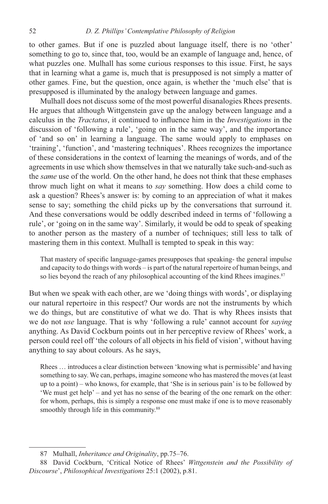to other games. But if one is puzzled about language itself, there is no 'other' something to go to, since that, too, would be an example of language and, hence, of what puzzles one. Mulhall has some curious responses to this issue. First, he says that in learning what a game is, much that is presupposed is not simply a matter of other games. Fine, but the question, once again, is whether the 'much else' that is presupposed is illuminated by the analogy between language and games.

Mulhall does not discuss some of the most powerful disanalogies Rhees presents. He argues that although Wittgenstein gave up the analogy between language and a calculus in the *Tractatus*, it continued to influence him in the *Investigations* in the discussion of 'following a rule', 'going on in the same way', and the importance of 'and so on' in learning a language. The same would apply to emphases on 'training', 'function', and 'mastering techniques'. Rhees recognizes the importance of these considerations in the context of learning the meanings of words, and of the agreements in use which show themselves in that we naturally take such-and-such as the *same* use of the world. On the other hand, he does not think that these emphases throw much light on what it means to *say* something. How does a child come to ask a question? Rhees's answer is: by coming to an appreciation of what it makes sense to say; something the child picks up by the conversations that surround it. And these conversations would be oddly described indeed in terms of 'following a rule', or 'going on in the same way'. Similarly, it would be odd to speak of speaking to another person as the mastery of a number of techniques; still less to talk of mastering them in this context. Mulhall is tempted to speak in this way:

That mastery of specific language-games presupposes that speaking- the general impulse and capacity to do things with words – is part of the natural repertoire of human beings, and so lies beyond the reach of any philosophical accounting of the kind Rhees imagines.<sup>87</sup>

But when we speak with each other, are we 'doing things with words', or displaying our natural repertoire in this respect? Our words are not the instruments by which we do things, but are constitutive of what we do. That is why Rhees insists that we do not *use* language. That is why 'following a rule' cannot account for *saying* anything. As David Cockburn points out in her perceptive review of Rhees' work, a person could reel off 'the colours of all objects in his field of vision', without having anything to say about colours. As he says,

Rhees … introduces a clear distinction between 'knowing what is permissible' and having something to say. We can, perhaps, imagine someone who has mastered the moves (at least up to a point) – who knows, for example, that 'She is in serious pain' is to be followed by 'We must get help' – and yet has no sense of the bearing of the one remark on the other: for whom, perhaps, this is simply a response one must make if one is to move reasonably smoothly through life in this community.<sup>88</sup>

<sup>87</sup> Mulhall, *Inheritance and Originality*, pp.75–76.

<sup>88</sup> David Cockburn, 'Critical Notice of Rhees' *Wittgenstein and the Possibility of Discourse*', *Philosophical Investigations* 25:1 (2002), p.81.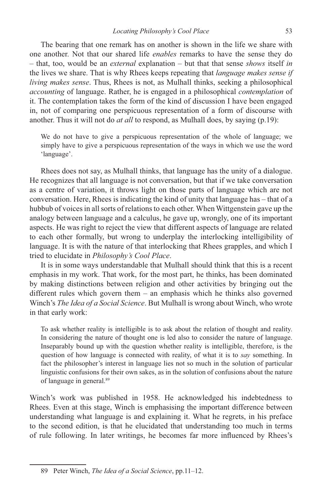The bearing that one remark has on another is shown in the life we share with one another. Not that our shared life *enables* remarks to have the sense they do – that, too, would be an *external* explanation – but that that sense *shows* itself *in* the lives we share. That is why Rhees keeps repeating that *language makes sense if living makes sense*. Thus, Rhees is not, as Mulhall thinks, seeking a philosophical *accounting* of language. Rather, he is engaged in a philosophical *contemplation* of it. The contemplation takes the form of the kind of discussion I have been engaged in, not of comparing one perspicuous representation of a form of discourse with another. Thus it will not do *at all* to respond, as Mulhall does, by saying (p.19):

We do not have to give a perspicuous representation of the whole of language; we simply have to give a perspicuous representation of the ways in which we use the word 'language'.

Rhees does not say, as Mulhall thinks, that language has the unity of a dialogue. He recognizes that all language is not conversation, but that if we take conversation as a centre of variation, it throws light on those parts of language which are not conversation. Here, Rhees is indicating the kind of unity that language has – that of a hubbub of voices in all sorts of relations to each other. When Wittgenstein gave up the analogy between language and a calculus, he gave up, wrongly, one of its important aspects. He was right to reject the view that different aspects of language are related to each other formally, but wrong to underplay the interlocking intelligibility of language. It is with the nature of that interlocking that Rhees grapples, and which I tried to elucidate in *Philosophy's Cool Place*.

It is in some ways understandable that Mulhall should think that this is a recent emphasis in my work. That work, for the most part, he thinks, has been dominated by making distinctions between religion and other activities by bringing out the different rules which govern them – an emphasis which he thinks also governed Winch's *The Idea of a Social Science*. But Mulhall is wrong about Winch, who wrote in that early work:

To ask whether reality is intelligible is to ask about the relation of thought and reality. In considering the nature of thought one is led also to consider the nature of language. Inseparably bound up with the question whether reality is intelligible, therefore, is the question of how language is connected with reality, of what it is to *say* something. In fact the philosopher's interest in language lies not so much in the solution of particular linguistic confusions for their own sakes, as in the solution of confusions about the nature of language in general.89

Winch's work was published in 1958. He acknowledged his indebtedness to Rhees. Even at this stage, Winch is emphasising the important difference between understanding what language is and explaining it. What he regrets, in his preface to the second edition, is that he elucidated that understanding too much in terms of rule following. In later writings, he becomes far more influenced by Rhees's

<sup>89</sup> Peter Winch, *The Idea of a Social Science*, pp.11–12.